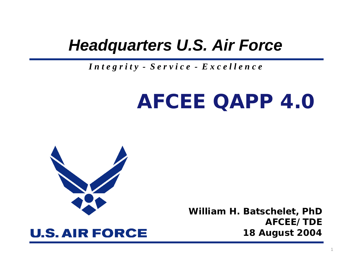#### *Headquarters U.S. Air Force*

#### *I n t e g r i t y - S e r v i c e - E x c e l l e n c e*

# **AFCEE QAPP 4.0**



**William H. Batschelet, PhD AFCEE/TDE18 August 2004**

#### **U.S. AIR FORCE**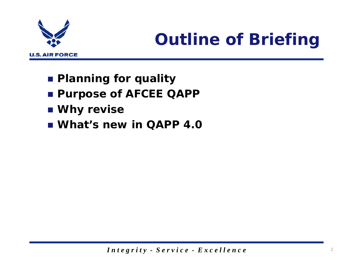

## *Outline of Briefing*

- **Planning for quality**
- **Purpose of AFCEE QAPP**
- **Why revise**
- **What's new in QAPP 4.0**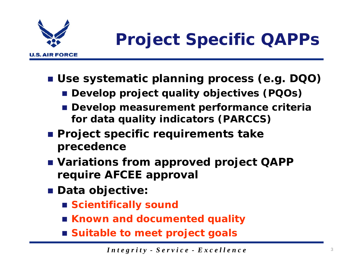

## *Project Specific QAPPs*

- **Use systematic planning process (e.g. DQO)**
	- **Develop project quality objectives (PQOs)**
	- **Develop measurement performance criteria for data quality indicators (PARCCS)**
- **Project specific requirements take precedence**
- **Variations from approved project QAPP require AFCEE approval**
- **Data objective:**
	- **Scientifically sound**
	- **Known and documented quality**
	- **Suitable to meet project goals**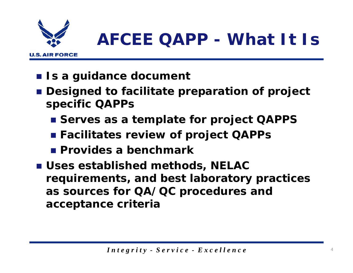

## *AFCEE QAPP - What It Is*

- Is a guidance document
- **Designed to facilitate preparation of project specific QAPPs**
	- Serves as a template for project QAPPS
	- **Facilitates review of project QAPPs**
	- **Provides a benchmark**
- **Uses established methods, NELAC requirements, and best laboratory practices as sources for QA/QC procedures and acceptance criteria**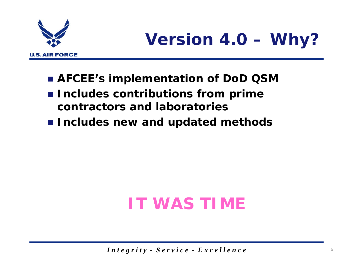

## *Version 4.0 – Why?*

- **AFCEE's implementation of DoD QSM**
- **Includes contributions from prime contractors and laboratories**
- **Includes new and updated methods**

## **IT WAS TIME**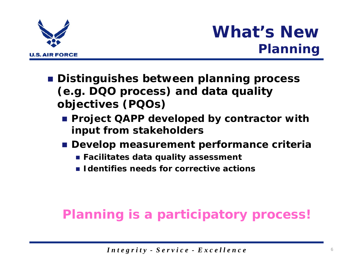

### *What's NewPlanning*

- **Distinguishes between planning process (e.g. DQO process) and data quality objectives (PQOs)**
	- **Project QAPP developed by contractor with input from stakeholders**
	- **Develop measurement performance criteria**
		- **Facilitates data quality assessment**
		- **I** Identifies needs for corrective actions

#### **Planning is a participatory process!**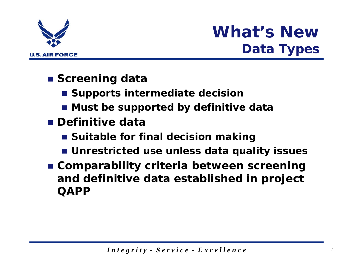

### *What's NewData Types*

- Screening data
	- **E** Supports intermediate decision
	- **Must be supported by definitive data**
- **Definitive data**
	- **E** Suitable for final decision making
	- **Unrestricted use unless data quality issues**
- **Comparability criteria between screening and definitive data established in project QAPP**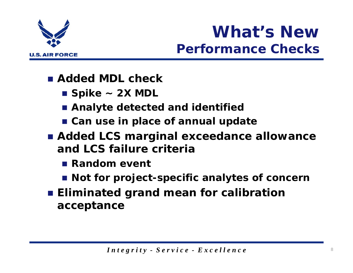

### *What's NewPerformance Checks*

- **Added MDL check**
	- **Spike ~ 2X MDL**
	- **Analyte detected and identified**
	- **Can use in place of annual update**
- **Added LCS marginal exceedance allowance and LCS failure criteria**
	- **Random event**
	- **Not for project-specific analytes of concern**
- **Eliminated grand mean for calibration acceptance**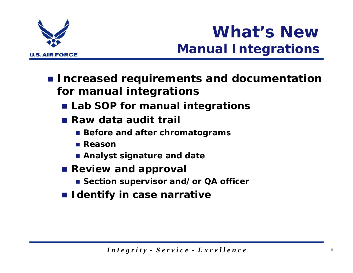

## *What's NewManual Integrations*

- **Increased requirements and documentation for manual integrations**
	- **Lab SOP for manual integrations**
	- **Raw data audit trail**
		- **Before and after chromatograms**
		- Reason
		- **Analyst signature and date**
	- **Review and approval** 
		- Section supervisor and/or QA officer
	- **I** Identify in case narrative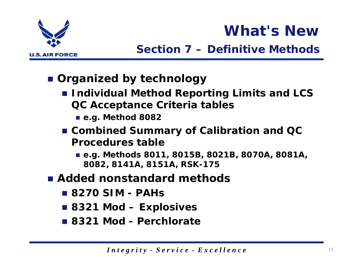

### *What's New*

#### *Section 7 – Definitive Methods*

- **Organized by technology**
	- **Individual Method Reporting Limits and LCS QC Acceptance Criteria tables**
		- **e.g. Method 8082**
	- **Combined Summary of Calibration and QC Procedures table**
		- **e.g. Methods 8011, 8015B, 8021B, 8070A, 8081A, 8082, 8141A, 8151A, RSK-175**
- **Added nonstandard methods**
	- **8270 SIM PAHs**
	- **8321 Mod Explosives**
	- **8321 Mod Perchlorate**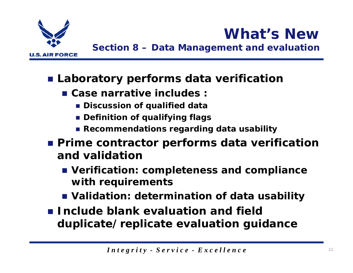

*Section 8 – Data Management and evaluation*

*What's New*

- **Laboratory performs data verification**
	- **Case narrative includes :**
		- **Discussion of qualified data**
		- **Definition of qualifying flags**
		- **Recommendations regarding data usability**
- **Prime contractor performs data verification and validation**
	- **Verification: completeness and compliance with requirements**
	- **Validation: determination of data usability**
- **Include blank evaluation and field duplicate/replicate evaluation guidance**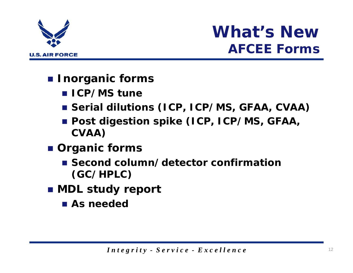

#### *What's NewAFCEE Forms*

- **Inorganic forms**
	- **ICP/MS tune**
	- **Serial dilutions (ICP, ICP/MS, GFAA, CVAA)**
	- **Post digestion spike (ICP, ICP/MS, GFAA, CVAA)**
- **Organic forms**
	- **E** Second column/detector confirmation **(GC/HPLC)**
- **MDL study report**
	- As needed